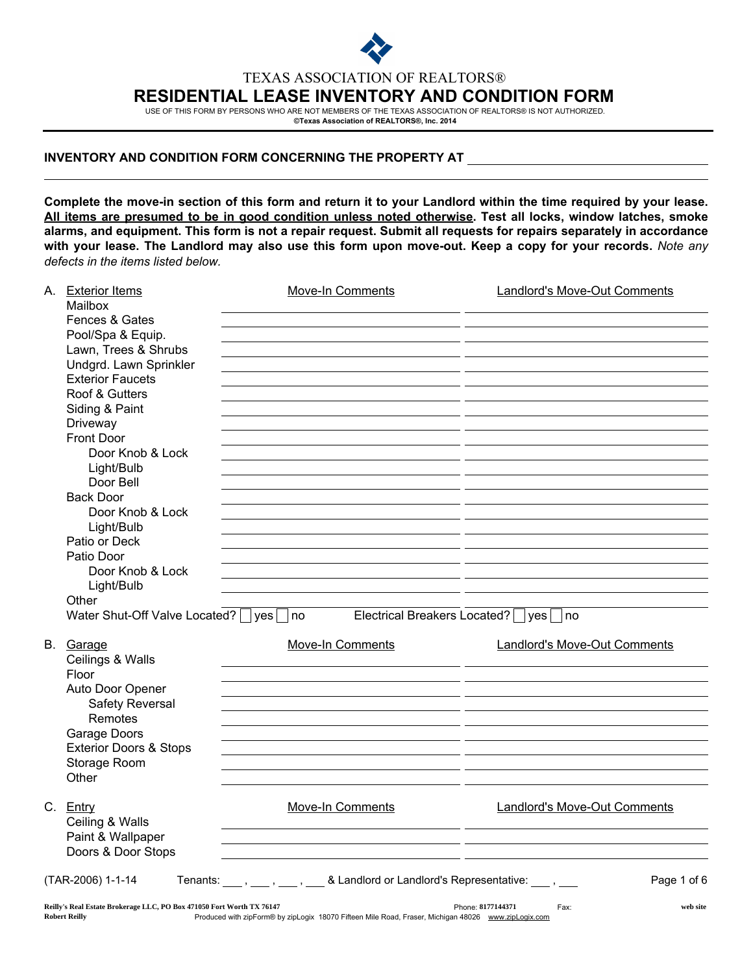

TEXAS ASSOCIATION OF REALTORS®

## RESIDENTIAL LEASE INVENTORY AND CONDITION FORM

USE OF THIS FORM BY PERSONS WHO ARE NOT MEMBERS OF THE TEXAS ASSOCIATION OF REALTORS® IS NOT AUTHORIZED.

©Texas Association of REALTORS®, Inc. 2014

## INVENTORY AND CONDITION FORM CONCERNING THE PROPERTY AT

Complete the move-in section of this form and return it to your Landlord within the time required by your lease. All items are presumed to be in good condition unless noted otherwise. Test all locks, window latches, smoke alarms, and equipment. This form is not a repair request. Submit all requests for repairs separately in accordance with your lease. The Landlord may also use this form upon move-out. Keep a copy for your records. *Note any defects in the items listed below.*

|  | A. Exterior Items<br>Mailbox                                                                  | Move-In Comments                                                                                    | <b>Landlord's Move-Out Comments</b>         |
|--|-----------------------------------------------------------------------------------------------|-----------------------------------------------------------------------------------------------------|---------------------------------------------|
|  | Fences & Gates                                                                                |                                                                                                     |                                             |
|  | Pool/Spa & Equip.                                                                             |                                                                                                     |                                             |
|  | Lawn, Trees & Shrubs                                                                          |                                                                                                     |                                             |
|  | Undgrd. Lawn Sprinkler                                                                        |                                                                                                     |                                             |
|  | <b>Exterior Faucets</b>                                                                       |                                                                                                     |                                             |
|  | Roof & Gutters                                                                                |                                                                                                     |                                             |
|  | Siding & Paint                                                                                |                                                                                                     |                                             |
|  | Driveway                                                                                      |                                                                                                     |                                             |
|  | Front Door                                                                                    |                                                                                                     |                                             |
|  | Door Knob & Lock                                                                              |                                                                                                     |                                             |
|  | Light/Bulb                                                                                    |                                                                                                     |                                             |
|  | Door Bell                                                                                     |                                                                                                     |                                             |
|  | <b>Back Door</b>                                                                              |                                                                                                     |                                             |
|  | Door Knob & Lock                                                                              |                                                                                                     |                                             |
|  | Light/Bulb                                                                                    |                                                                                                     |                                             |
|  | Patio or Deck                                                                                 |                                                                                                     |                                             |
|  | Patio Door                                                                                    |                                                                                                     |                                             |
|  | Door Knob & Lock                                                                              |                                                                                                     |                                             |
|  | Light/Bulb                                                                                    |                                                                                                     |                                             |
|  | Other                                                                                         |                                                                                                     |                                             |
|  | Water Shut-Off Valve Located?    yes     no                                                   |                                                                                                     | Electrical Breakers Located?     yes     no |
|  | B. Garage                                                                                     | <b>Move-In Comments</b>                                                                             | <b>Landlord's Move-Out Comments</b>         |
|  | Ceilings & Walls                                                                              |                                                                                                     |                                             |
|  | Floor                                                                                         |                                                                                                     |                                             |
|  | Auto Door Opener                                                                              |                                                                                                     |                                             |
|  | <b>Safety Reversal</b><br>Remotes                                                             |                                                                                                     |                                             |
|  |                                                                                               |                                                                                                     |                                             |
|  | Garage Doors<br><b>Exterior Doors &amp; Stops</b>                                             |                                                                                                     |                                             |
|  | Storage Room                                                                                  |                                                                                                     |                                             |
|  | Other                                                                                         |                                                                                                     |                                             |
|  |                                                                                               |                                                                                                     |                                             |
|  | C. Entry                                                                                      | Move-In Comments                                                                                    | <b>Landlord's Move-Out Comments</b>         |
|  | Ceiling & Walls                                                                               |                                                                                                     |                                             |
|  | Paint & Wallpaper                                                                             |                                                                                                     |                                             |
|  | Doors & Door Stops                                                                            |                                                                                                     |                                             |
|  | (TAR-2006) 1-1-14                                                                             | Tenants: ____, ____, ____, & Landlord or Landlord's Representative: ____, ___                       | Page 1 of 6                                 |
|  |                                                                                               |                                                                                                     |                                             |
|  | Reilly's Real Estate Brokerage LLC, PO Box 471050 Fort Worth TX 76147<br><b>Robert Reilly</b> | Produced with zipForm® by zipLogix 18070 Fifteen Mile Road. Fraser. Michigan 48026 www.zipLogix.com | Phone: 8177144371<br>web site<br>Fax:       |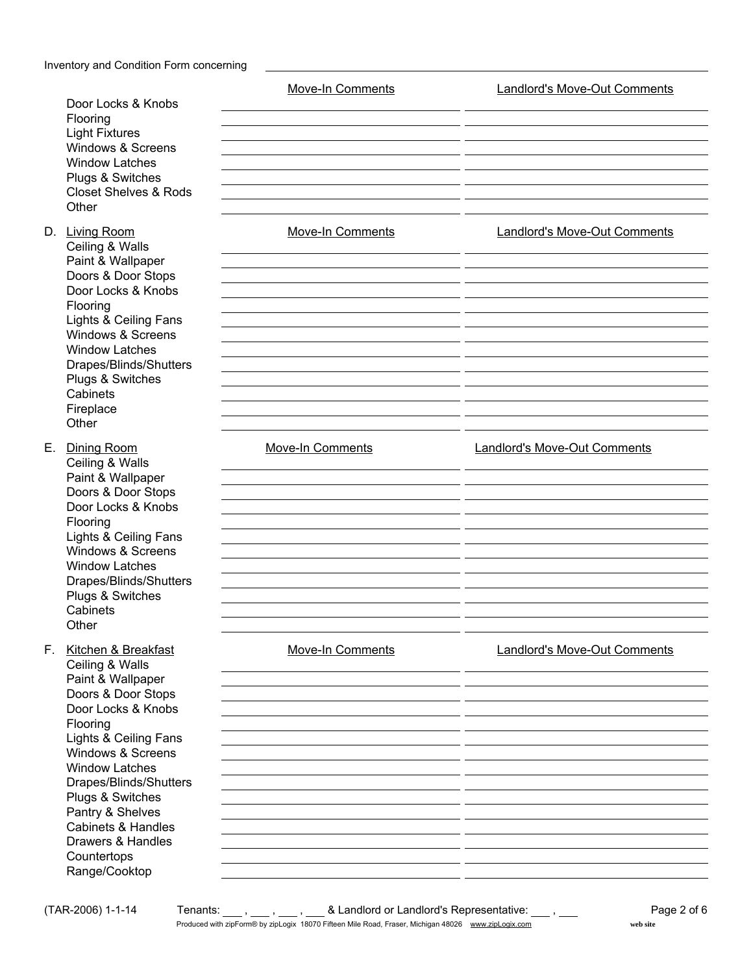|                                                                                                                                                                                                                                                                                                                                                          | Move-In Comments        | <b>Landlord's Move-Out Comments</b>                                        |  |  |
|----------------------------------------------------------------------------------------------------------------------------------------------------------------------------------------------------------------------------------------------------------------------------------------------------------------------------------------------------------|-------------------------|----------------------------------------------------------------------------|--|--|
| Door Locks & Knobs<br>Flooring<br><b>Light Fixtures</b><br>Windows & Screens<br><b>Window Latches</b><br>Plugs & Switches<br><b>Closet Shelves &amp; Rods</b><br>Other                                                                                                                                                                                   |                         |                                                                            |  |  |
| D. Living Room<br>Ceiling & Walls<br>Paint & Wallpaper<br>Doors & Door Stops<br>Door Locks & Knobs<br>Flooring<br>Lights & Ceiling Fans<br>Windows & Screens<br><b>Window Latches</b><br>Drapes/Blinds/Shutters<br>Plugs & Switches<br>Cabinets<br>Fireplace<br>Other                                                                                    | <b>Move-In Comments</b> | <b>Landlord's Move-Out Comments</b><br><b>Landlord's Move-Out Comments</b> |  |  |
| Е.<br>Dining Room<br>Ceiling & Walls<br>Paint & Wallpaper<br>Doors & Door Stops<br>Door Locks & Knobs<br>Flooring<br>Lights & Ceiling Fans<br>Windows & Screens<br><b>Window Latches</b><br>Drapes/Blinds/Shutters<br>Plugs & Switches<br>Cabinets<br>Other                                                                                              | <b>Move-In Comments</b> |                                                                            |  |  |
| F.<br>Kitchen & Breakfast<br>Ceiling & Walls<br>Paint & Wallpaper<br>Doors & Door Stops<br>Door Locks & Knobs<br>Flooring<br>Lights & Ceiling Fans<br>Windows & Screens<br><b>Window Latches</b><br>Drapes/Blinds/Shutters<br>Plugs & Switches<br>Pantry & Shelves<br><b>Cabinets &amp; Handles</b><br>Drawers & Handles<br>Countertops<br>Range/Cooktop | <b>Move-In Comments</b> | Landlord's Move-Out Comments                                               |  |  |

(TAR-2006) 1-1-14 Tenants: , , , & Landlord or Landlord's Representative: , Page 2 of 6 Produced with zipForm® by zipLogix 18070 Fifteen Mile Road, Fraser, Michigan 48026 www.zipLogix.com **web site** web site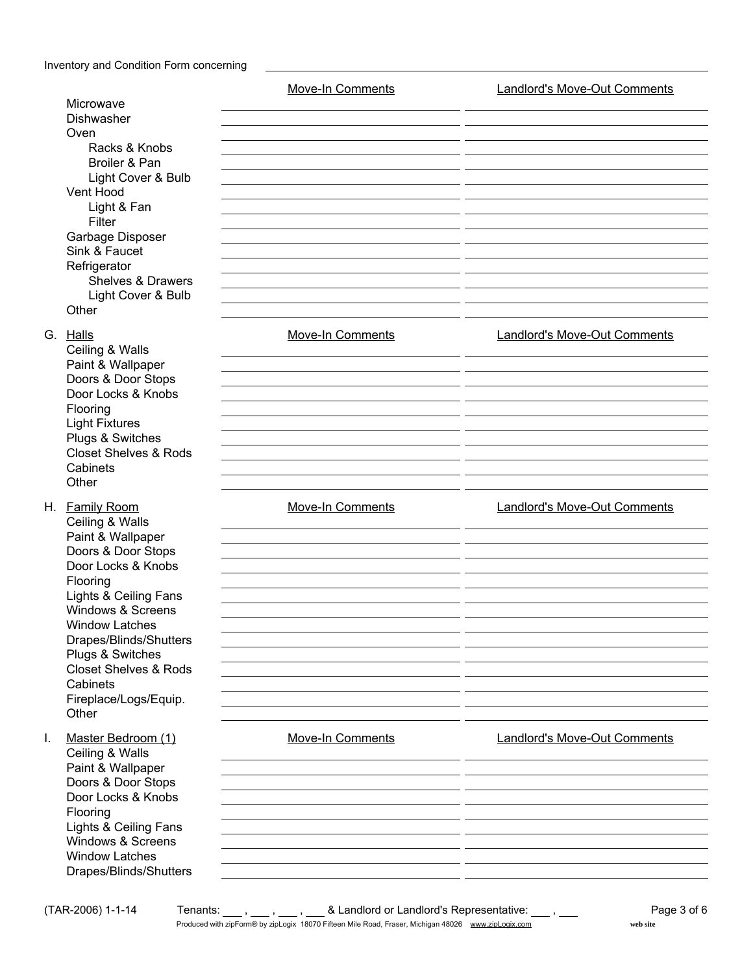|    | Microwave<br>Dishwasher<br>Oven<br>Racks & Knobs<br>Broiler & Pan<br>Light Cover & Bulb<br>Vent Hood<br>Light & Fan<br>Filter<br>Garbage Disposer<br>Sink & Faucet<br>Refrigerator<br><b>Shelves &amp; Drawers</b><br>Light Cover & Bulb<br>Other                                                                                | <b>Move-In Comments</b> | Landlord's Move-Out Comments        |
|----|----------------------------------------------------------------------------------------------------------------------------------------------------------------------------------------------------------------------------------------------------------------------------------------------------------------------------------|-------------------------|-------------------------------------|
|    | G. Halls<br>Ceiling & Walls<br>Paint & Wallpaper<br>Doors & Door Stops<br>Door Locks & Knobs<br>Flooring<br><b>Light Fixtures</b><br>Plugs & Switches<br><b>Closet Shelves &amp; Rods</b><br>Cabinets<br>Other                                                                                                                   | <b>Move-In Comments</b> | <b>Landlord's Move-Out Comments</b> |
|    | H. Family Room<br>Ceiling & Walls<br>Paint & Wallpaper<br>Doors & Door Stops<br>Door Locks & Knobs<br>Flooring<br>Lights & Ceiling Fans<br><b>Windows &amp; Screens</b><br><b>Window Latches</b><br>Drapes/Blinds/Shutters<br>Plugs & Switches<br><b>Closet Shelves &amp; Rods</b><br>Cabinets<br>Fireplace/Logs/Equip.<br>Other | Move-In Comments        | <b>Landlord's Move-Out Comments</b> |
| I. | Master Bedroom (1)<br>Ceiling & Walls<br>Paint & Wallpaper<br>Doors & Door Stops<br>Door Locks & Knobs<br>Flooring<br>Lights & Ceiling Fans<br>Windows & Screens<br><b>Window Latches</b><br>Drapes/Blinds/Shutters                                                                                                              | Move-In Comments        | <b>Landlord's Move-Out Comments</b> |

(TAR-2006) 1-1-14 Tenants: , , , & Landlord or Landlord's Representative: , Page 3 of 6 Produced with zipForm® by zipLogix 18070 Fifteen Mile Road, Fraser, Michigan 48026 www.zipLogix.com **web site** web site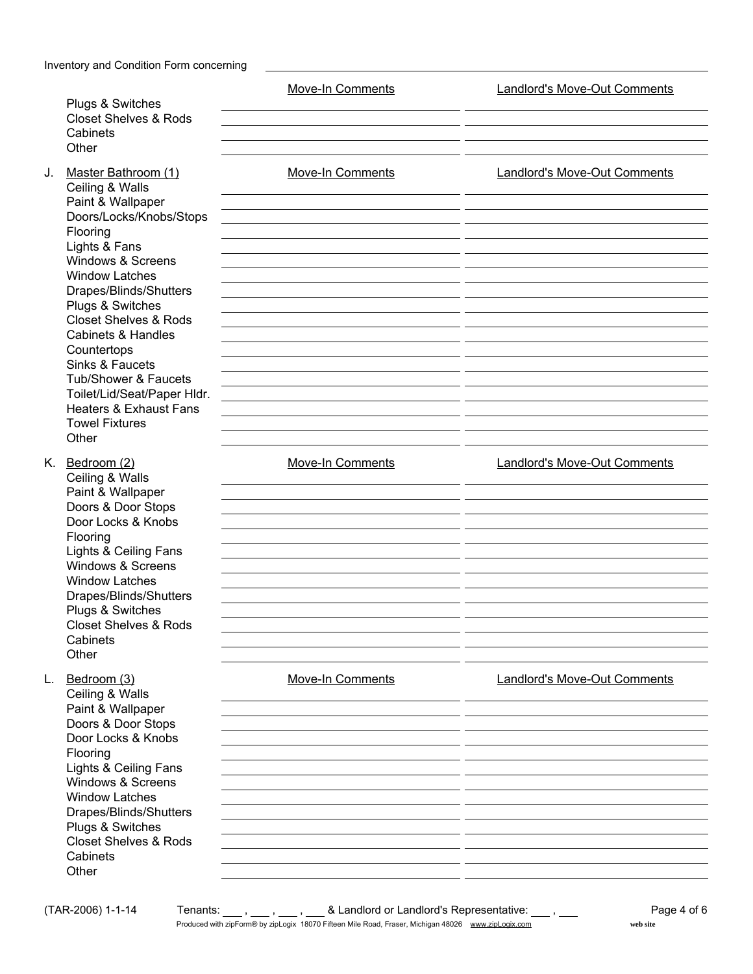| Plugs & Switches<br><b>Closet Shelves &amp; Rods</b><br>Cabinets                                                                                                                                                                                                                                                                                                                                                                                     |                                                                                                                                                                                                                                                                                                         | <b>Move-In Comments</b> | <b>Landlord's Move-Out Comments</b> |  |  |
|------------------------------------------------------------------------------------------------------------------------------------------------------------------------------------------------------------------------------------------------------------------------------------------------------------------------------------------------------------------------------------------------------------------------------------------------------|---------------------------------------------------------------------------------------------------------------------------------------------------------------------------------------------------------------------------------------------------------------------------------------------------------|-------------------------|-------------------------------------|--|--|
| J.                                                                                                                                                                                                                                                                                                                                                                                                                                                   | Other                                                                                                                                                                                                                                                                                                   | <b>Move-In Comments</b> | <b>Landlord's Move-Out Comments</b> |  |  |
| Master Bathroom (1)<br>Ceiling & Walls<br>Paint & Wallpaper<br>Doors/Locks/Knobs/Stops<br>Flooring<br>Lights & Fans<br>Windows & Screens<br><b>Window Latches</b><br>Drapes/Blinds/Shutters<br>Plugs & Switches<br><b>Closet Shelves &amp; Rods</b><br><b>Cabinets &amp; Handles</b><br>Countertops<br>Sinks & Faucets<br>Tub/Shower & Faucets<br>Toilet/Lid/Seat/Paper Hldr.<br><b>Heaters &amp; Exhaust Fans</b><br><b>Towel Fixtures</b><br>Other |                                                                                                                                                                                                                                                                                                         |                         |                                     |  |  |
|                                                                                                                                                                                                                                                                                                                                                                                                                                                      | K. Bedroom (2)<br>Ceiling & Walls<br>Paint & Wallpaper<br>Doors & Door Stops<br>Door Locks & Knobs<br>Flooring<br>Lights & Ceiling Fans<br><b>Windows &amp; Screens</b><br><b>Window Latches</b><br>Drapes/Blinds/Shutters<br>Plugs & Switches<br><b>Closet Shelves &amp; Rods</b><br>Cabinets<br>Other | <b>Move-In Comments</b> | <b>Landlord's Move-Out Comments</b> |  |  |
| L.                                                                                                                                                                                                                                                                                                                                                                                                                                                   | Bedroom (3)<br>Ceiling & Walls<br>Paint & Wallpaper<br>Doors & Door Stops<br>Door Locks & Knobs<br>Flooring<br>Lights & Ceiling Fans<br>Windows & Screens<br><b>Window Latches</b><br>Drapes/Blinds/Shutters<br>Plugs & Switches<br><b>Closet Shelves &amp; Rods</b><br>Cabinets<br>Other               | <b>Move-In Comments</b> | <b>Landlord's Move-Out Comments</b> |  |  |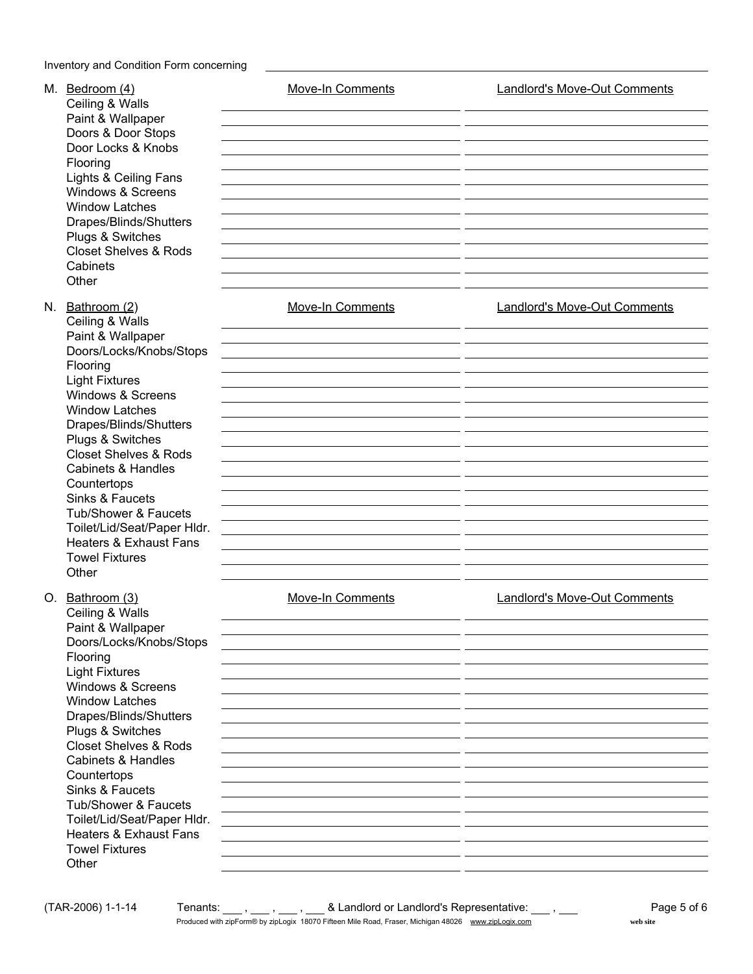| M. Bedroom (4)<br>Ceiling & Walls<br>Paint & Wallpaper<br>Doors & Door Stops<br>Door Locks & Knobs<br>Flooring<br>Lights & Ceiling Fans<br>Windows & Screens<br><b>Window Latches</b><br>Drapes/Blinds/Shutters<br>Plugs & Switches<br><b>Closet Shelves &amp; Rods</b><br>Cabinets<br>Other                                                                                                                                                                        | <b>Move-In Comments</b> | <b>Landlord's Move-Out Comments</b> |
|---------------------------------------------------------------------------------------------------------------------------------------------------------------------------------------------------------------------------------------------------------------------------------------------------------------------------------------------------------------------------------------------------------------------------------------------------------------------|-------------------------|-------------------------------------|
| N. Bathroom (2)<br>Ceiling & Walls<br>Paint & Wallpaper<br>Doors/Locks/Knobs/Stops<br>Flooring<br><b>Light Fixtures</b><br>Windows & Screens<br><b>Window Latches</b><br>Drapes/Blinds/Shutters<br>Plugs & Switches<br><b>Closet Shelves &amp; Rods</b><br><b>Cabinets &amp; Handles</b><br>Countertops<br>Sinks & Faucets<br>Tub/Shower & Faucets<br>Toilet/Lid/Seat/Paper Hldr.<br><b>Heaters &amp; Exhaust Fans</b><br><b>Towel Fixtures</b><br>Other            | <b>Move-In Comments</b> | <b>Landlord's Move-Out Comments</b> |
| O. Bathroom (3)<br>Ceiling & Walls<br>Paint & Wallpaper<br>Doors/Locks/Knobs/Stops<br>Flooring<br><b>Light Fixtures</b><br>Windows & Screens<br><b>Window Latches</b><br>Drapes/Blinds/Shutters<br>Plugs & Switches<br><b>Closet Shelves &amp; Rods</b><br><b>Cabinets &amp; Handles</b><br>Countertops<br>Sinks & Faucets<br><b>Tub/Shower &amp; Faucets</b><br>Toilet/Lid/Seat/Paper Hldr.<br><b>Heaters &amp; Exhaust Fans</b><br><b>Towel Fixtures</b><br>Other | <b>Move-In Comments</b> | Landlord's Move-Out Comments        |